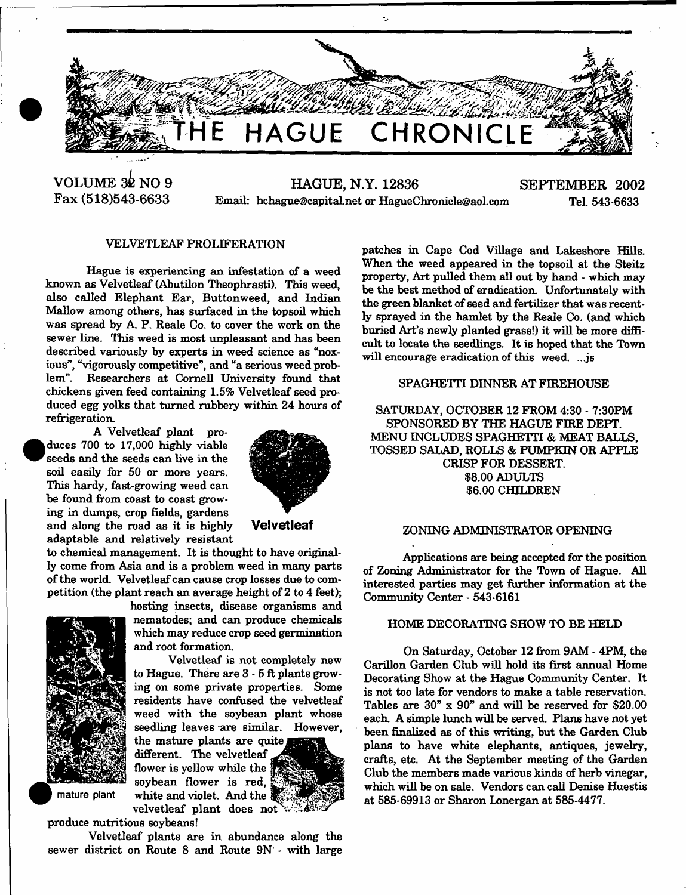

Ļ.

**VOLUME 32 NO 9 Fax (518)543-6633**

**HAGUE, N.Y. 12836 SEPTEMBER 2002** Email: hehague@capitalnet or [HagueChronicle@aol.com](mailto:HagueChronicle@aol.com) Tel. 543-6633

## VELVETLEAF PROLIFERATION

Hague is experiencing an infestation of a weed known as Velvetleaf (Abutilon Theophrasti). This weed, also called Elephant Ear, Button weed, and Indian Mallow among others, has surfaced in the topsoil which was spread by A P. Reale Co. to cover the work on the sewer line. This weed is most unpleasant and has been described variously by experts in weed science as "noxious", "vigorously competitive", and "a serious weed problem". Researchers at Cornell University found that chickens given feed containing 1.5% Velvetleaf seed produced egg yolks that turned rubbery within 24 hours of refrigeration.

A Velvetleaf plant pro duces 700 to 17,000 highly viable seeds and the seeds can live in the soil easily for 50 or more years. This hardy, fast-growing weed can be found from coast to coast growing in dumps, crop fields, gardens and along the road as it is highly **Velvetleaf** adaptable and relatively resistant



to chemical management. It is thought to have originally come from Asia and is a problem weed in many parts of the world. Velvetleaf can cause crop losses due to competition (the plant reach an average height of 2 to 4 feet);



<sup>•</sup>

hosting insects, disease organisms and nematodes; and can produce chemicals which may reduce crop seed germination and root formation.

Velvetleaf is not completely new to Hague. There are 3 - 5 ft plants growing on some private properties. Some residents have confused the velvetleaf weed with the soybean plant whose seedling leaves are similar. However,

the mature plants are quite different. The velvetleaf flower is yellow while the  $\frac{1}{2}$ soybean flower is red, mature plant white and violet. And the



produce nutritious soybeans!

Velvetleaf plants are in abundance along the sewer district on Route 8 and Route 9N - with large

patches in Cape Cod Village and Lakeshore Hills. When the weed appeared in the topsoil at the Steitz property, Art pulled them all out by hand - which may be the best method of eradication. Unfortunately with the green blanket of seed and fertilizer that was recently sprayed in the hamlet by the Reale Co. (and which buried Art's newly planted grass!) it will be more difficult to locate the seedlings. It is hoped that the Town will encourage eradication of this weed. ...js

# SPAGHETTI DINNER AT FIREHOUSE

SATURDAY, OCTOBER 12 FROM 4:30 - 7:30PM SPONSORED BY THE HAGUE FIRE DEPT. MENU INCLUDES SPAGHETTI & MEAT BALLS, TOSSED SALAD, ROLLS & PUMPKIN OR APPLE CRISP FOR DESSERT. \$8.00 ADULTS \$6.00 CHILDREN

## ZONING ADMINISTRATOR OPENING

Applications are being accepted for the position of Zoning Administrator for the Town of Hague. All interested parties may get further information at the Community Center - 543-6161

#### HOME DECORATING SHOW TO BE HELD

On Saturday, October 12 from 9AM - 4PM, the Carillon Garden Club will hold its first annual Home Decorating Show at the Hague Community Center. It is not too late for vendors to make a table reservation. Tables are 30" x 90" and will be reserved for \$20.00 each A simple lunch will be served. Plans have not yet been finalized as of this writing, but the Garden Club plans to have white elephants, antiques, jewelry, crafts, etc. At the September meeting of the Garden Club the members made various kinds of herb vinegar, which will be on sale. Vendors can call Denise Huestis at 585-69913 or Sharon Lonergan at 585-4477.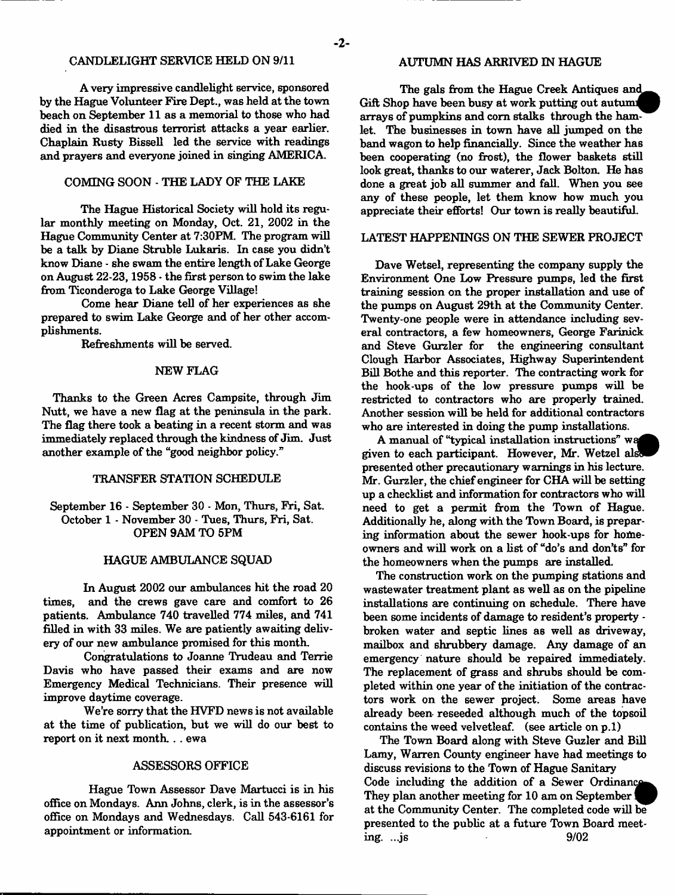## CANDLELIGHT SERVICE HELD ON 9/11

Avery impressive candlelight service, sponsored by the Hague Volunteer Fire Dept., was held at the town beach on September 11 as a memorial to those who had died in the disastrous terrorist attacks a year earlier. Chaplain Rusty Bissell led the service with readings and prayers and everyone joined in singing AMERICA.

#### COMING SOON - THE LADY OF THE LAKE

The Hague Historical Society will hold its regular monthly meeting on Monday, Oct. 21, 2002 in the Hague Community Center at 7:30PM. The program will be a talk by Diane Struble Lukaris. In case you didn't know Diane - she swam the entire length of Lake George on August 22-23,1958 • the first person to swim the lake from Ticonderoga to Lake George Village!

Come hear Diane tell of her experiences as she prepared to swim Lake George and of her other accomplishments.

Refreshments will be served.

#### NEW FLAG

Thanks to the Green Acres Campsite, through Jim Nutt, we have a new flag at the peninsula in the park. The flag there took a beating in a recent storm and was immediately replaced through the kindness of Jim. Just another example of the "good neighbor policy."

#### TRANSFER STATION SCHEDULE

## September 16 - September 30 - Mon, Thurs, Fri, Sat. October 1 - November 30 - Tues, Thurs, Fri, Sat. OPEN 9AM TO 5PM

#### HAGUE AMBULANCE SQUAD

In August 2002 our ambulances hit the road 20 times, and the crews gave care and comfort to 26 patients. Ambulance 740 travelled 774 miles, and 741 filled in with 33 miles. We are patiently awaiting delivery of our new ambulance promised for this month.

Congratulations to Joanne Trudeau and Terrie Davis who have passed their exams and are now Emergency Medical Technicians. Their presence will improve daytime coverage.

We're sorry that the HVFD news is not available at the time of publication, but we will do our best to report on it next month. . . ewa

## ASSESSORS OFFICE

Hague Town Assessor Dave Martucci is in his office on Mondays. Ann Johns, clerk, is in the assessor's office on Mondays and Wednesdays. Call 543-6161 for appointment or information.

## AUTUMN HAS ARRIVED IN HAGUE

The gals from the Hague Creek Antiques and Gift Shop have been busy at work putting out autumn arrays of pumpkins and com stalks through the hamlet. The businesses in town have all jumped on the band wagon to help financially. Since the weather has been cooperating (no frost), the flower baskets still look great, thanks to our waterer, Jack Bolton. He has done a great job all summer and fall. When you see any of these people, let them know how much you appreciate their efforts! Our town is really beautiful.

## LATEST HAPPENINGS ON THE SEWER PROJECT

Dave Wetsel, representing the company supply the Environment One Low Pressure pumps, led the first training session on the proper installation and use of the pumps on August 29th at the Community Center. Twenty-one people were in attendance including several contractors, a few homeowners, George Farinick and Steve Gurzler for the engineering consultant Clough Harbor Associates, Highway Superintendent Bill Bothe and this reporter. The contracting work for the hook-ups of the low pressure pumps will be restricted to contractors who are properly trained. Another session will be held for additional contractors who are interested in doing the pump installations.

A manual of "typical installation instructions" wa given to each participant. However, Mr. Wetzel als presented other precautionary warnings in his lecture. Mr. Gurzler, the chief engineer for CHA will be setting up a checklist and information for contractors who will need to get a permit from the Town of Hague. Additionally he, along with the Town Board, is preparing information about the sewer hook-ups for homeowners and will work on a list of "do's and don'ts" for the homeowners when the pumps are installed.

The construction work on the pumping stations and wastewater treatment plant as well as on the pipeline installations are continuing on schedule. There have been some incidents of damage to resident's property broken water and septic lines as well as driveway, mailbox and shrubbery damage. Any damage of an emergency nature should be repaired immediately. The replacement of grass and shrubs should be completed within one year of the initiation of the contractors work on the sewer project. Some areas have already been- reseeded although much of the topsoil contains the weed velvetleaf. (see article on p.l)

The Town Board along with Steve Guzler and Bill Lamy, Warren County engineer have had meetings to discuss revisions to the Town of Hague Sanitary Code including the addition of a Sewer Ordinance They plan another meeting for 10 am on September at the Community Center. The completed code will be presented to the public at a future Town Board meeting. ...js 9/02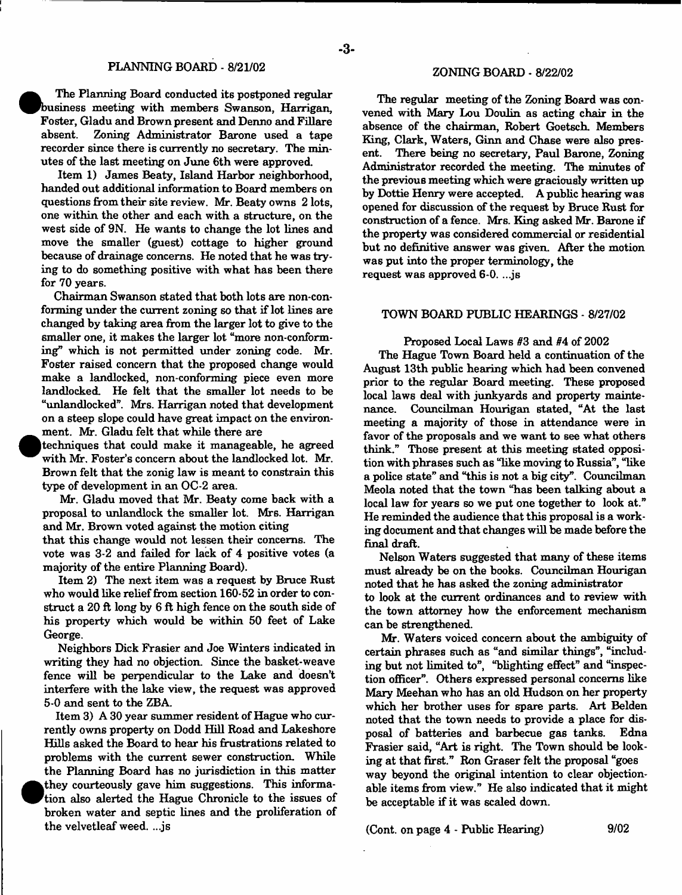The Planning Board conducted its postponed regular business meeting with members Swanson, Harrigan, Foster, Gladu and Brown present and Denno and Fillare absent. Zoning Administrator Barone used a tape recorder since there is currently no secretary. The minutes of the last meeting on June 6th were approved.

Item 1) James Beaty, Island Harbor neighborhood, handed out additional information to Board members on questions from their site review. Mr. Beaty owns 2 lots, one within the other and each with a structure, on the west side of 9N. He wants to change the lot lines and move the smaller (guest) cottage to higher ground because of drainage concerns. He noted that he was trying to do something positive with what has been there for 70 years.

Chairman Swanson stated that both lots are non-conforming under the current zoning so that if lot lines are changed by taking area from the larger lot to give to the smaller one, it makes the larger lot "more non-conforming" which is not permitted under zoning code. Mr. Foster raised concern that the proposed change would make a landlocked, non-conforming piece even more landlocked. He felt that the smaller lot needs to be "unlandlocked". Mrs. Harrigan noted that development on a steep slope could have great impact on the environment. Mr. Gladu felt that while there are

techniques that could make it manageable, he agreed with Mr, Foster's concern about the landlocked lot. Mr. Brown felt that the zonig law is meant to constrain this type of development in an OC-2 area.

Mr. Gladu moved that Mr. Beaty come back with a proposal to unlandlock the smaller lot. Mrs. Harrigan and Mr. Brown voted against the motion citing

that this change would not lessen their concerns. The vote was 3-2 and failed for lack of 4 positive votes (a majority of the entire Planning Board).

Item 2) The next item was a request by Bruce Rust who would like relief from section 160-52 in order to construct a 20 ft long by 6 ft high fence on the south side of his property which would be within 50 feet of Lake George.

Neighbors Dick Frasier and Joe Winters indicated in writing they had no objection. Since the basket-weave fence will be perpendicular to the Lake and doesn't interfere with the lake view, the request was approved 5-0 and sent to the ZBA.

Item 3) A 30 year summer resident of Hague who currently owns property on Dodd Hill Road and Lakeshore Hills asked the Board to hear his frustrations related to problems with the current sewer construction. While the Planning Board has no jurisdiction in this matter <sup>•</sup> they courteously gave him suggestions. This information also alerted the Hague Chronicle to the issues of broken water and septic lines and the proliferation of the velvetleaf weed. ...js

The regular meeting of the Zoning Board was convened with Mary Lou Doulin as acting chair in the absence of the chairman, Robert Goetsch. Members Ring, Clark, Waters, Ginn and Chase were also present. There being no secretary, Paul Barone, Zoning Administrator recorded the meeting. The minutes of the previous meeting which were graciously written up by Dottie Henry were accepted. A public hearing was opened for discussion of the request by Bruce Rust for construction of a fence. Mrs. King asked Mr. Barone if the property was considered commercial or residential but no definitive answer was given. After the motion was put into the proper terminology, the request was approved 6-0. ...js

TOWN BOARD PUBLIC HEARINGS - 8/27/02

#### Proposed Local Laws #3 and #4 of 2002

The Hague Town Board held a continuation of the August 13th public hearing which had been convened prior to the regular Board meeting. These proposed local laws deal with junkyards and property maintenance. Councilman Hourigan stated, "At the last meeting a majority of those in attendance were in favor of the proposals and we want to see what others think." Those present at this meeting stated opposition with phrases such as "like moving to Russia", "like a police state" and "this is not a big city". Councilman Meola noted that the town "has been talking about a local law for years so we put one together to look at." He reminded the audience that this proposal is a working document and that changes will be made before the final draft.

Nelson Waters suggested that many of these items must already be on the books. Councilman Hourigan noted that he has asked the zoning administrator to look at the current ordinances and to review with the town attorney how the enforcement mechanism can be strengthened.

Mr. Waters voiced concern about the ambiguity of certain phrases such as "and similar things", "including but not limited to", "blighting effect" and "inspection officer". Others expressed personal concerns like Mary Meehan who has an old Hudson on her property which her brother uses for spare parts. Art Belden noted that the town needs to provide a place for disposal of batteries and barbecue gas tanks. Edna Frasier said, "Art is right. The Town should be looking at that first." Ron Graser felt the proposal "goes way beyond the original intention to clear objectionable items from view." He also indicated that it might be acceptable if it was scaled down.

(Cont. on page  $4$  - Public Hearing) 9/02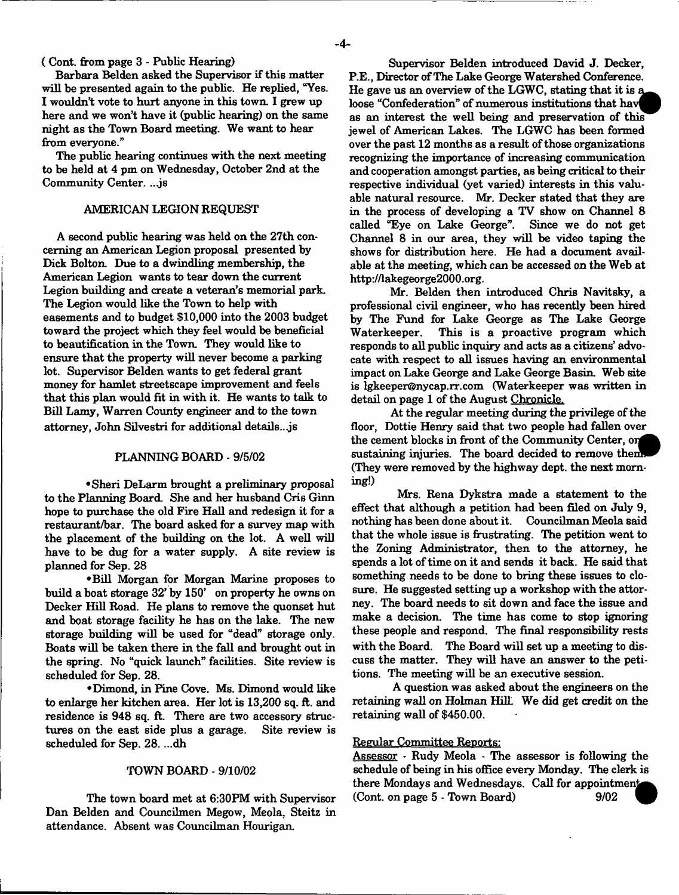( Cont. from page 3 - Public Hearing)

Barbara Belden asked the Supervisor if this matter will be presented again to the public. He replied, "Yes. I wouldn't vote to hurt anyone in this town. I grew up here and we won't have it (public hearing) on the same night as the Town Board meeting. We want to hear from everyone."

The public hearing continues with the next meeting to be held at 4 pm on Wednesday, October 2nd at the Community Center. ...js

#### AMERICAN LEGION REQUEST

A second public hearing was held on the 27th concerning an American Legion proposal presented by Dick Bolton. Due to a dwindling membership, the American Legion wants to tear down the current Legion building and create a veteran's memorial park. The Legion would like the Town to help with easements and to budget \$10,000 into the 2003 budget toward the project which they feel would be beneficial to beautification in the Town. They would like to ensure that the property will never become a parking lot. Supervisor Belden wants to get federal grant money for hamlet streetscape improvement and feels that this plan would fit in with it. He wants to talk to Bill Lamy, Warren County engineer and to the town attorney, John Silvestri for additional details., js

#### PLANNING BOARD - 9/5/02

•Sheri DeLarm brought a preliminary proposal to the Planning Board. She and her husband Cris Ginn hope to purchase the old Fire Hall and redesign it for a restaurant/bar. The board asked for a survey map with the placement of the building on the lot. A well will have to be dug for a water supply. A site review is planned for Sep. 28

•Bill Morgan for Morgan Marine proposes to build a boat storage 32' by 150' on property he owns on Decker Hill Road. He plans to remove the quonset hut and boat storage facility he has on the lake. The new storage building will be used for "dead" storage only. Boats will be taken there in the fall and brought out in the spring. No "quick launch" facilities. Site review is scheduled for Sep. 28.

•Dimond, in Pine Cove. Ms. Dimond would like to enlarge her kitchen area. Her lot is 13,200 sq. ft. and residence is 948 sq. ft. There are two accessory structures on the east side plus a garage. Site review is scheduled for Sep. 28. ...dh

#### TOWN BOARD - 9/10/02

The town board met at 6:30PM with Supervisor Dan Belden and Councilmen Megow, Meola, Steitz in attendance. Absent was Councilman Hourigan.

Supervisor Belden introduced David J. Decker, P.E., Director of The Lake George Watershed Conference. He gave us an overview of the LGWC, stating that it is a loose "Confederation" of numerous institutions that have as an interest the well being and preservation of this jewel of American Lakes. The LGWC has been formed over the past 12 months as a result of those organizations recognizing the importance of increasing communication and cooperation amongst parties, as being critical to their respective individual (yet varied) interests in this valuable natural resource. Mr. Decker stated that they are in the process of developing a TV show on Channel 8 called "Eye on Lake George". Since we do not get Channel 8 in our area, they will be video taping the shows for distribution here. He had a document available at the meeting, which can be accessed on the Web at [http://lakegeorge2000.org.](http://lakegeorge2000.org)

Mr. Belden then introduced Chris Navitsky, a professional civil engineer, who has recently been hired by The Fund for Lake George as The Lake George Waterkeeper. This is a proactive program which responds to all public inquiry and acts as a citizens' advocate with respect to all issues having an environmental impact on Lake George and Lake George Basin. Web site is [lgkeeper@nycap.rr.com](mailto:lgkeeper@nycap.rr.com) (Waterkeeper was written in detail on page 1 of the August Chronicle.

At the regular meeting during the privilege of the floor, Dottie Henry said that two people had fallen over the cement blocks in front of the Community Center, or sustaining injuries. The board decided to remove them (They were removed by the highway dept, the next morning!)

Mrs. Rena Dykstra made a statement to the effect that although a petition had been filed on July 9, nothing has been done about it. Councilman Meola said that the whole issue is frustrating. The petition went to the Zoning Administrator, then to the attorney, he spends a lot of time on it and sends it back. He said that something needs to be done to bring these issues to closure. He suggested setting up a workshop with the attorney. The board needs to sit down and face the issue and make a decision. The time has come to stop ignoring these people and respond. The final responsibility rests with the Board. The Board will set up a meeting to discuss the matter. They will have an answer to the petitions. The meeting will be an executive session.

A question was asked about the engineers on the retaining wall on Holman Hill. We did get credit on the retaining wall of \$450.00.

#### Regular Committee Reports:

Assessor - Rudy Meola - The assessor is following the schedule of being in his office every Monday. The clerk is there Mondays and Wednesdays. Call for appointment  $(Cont. on page 5 - Town Board)$  9/02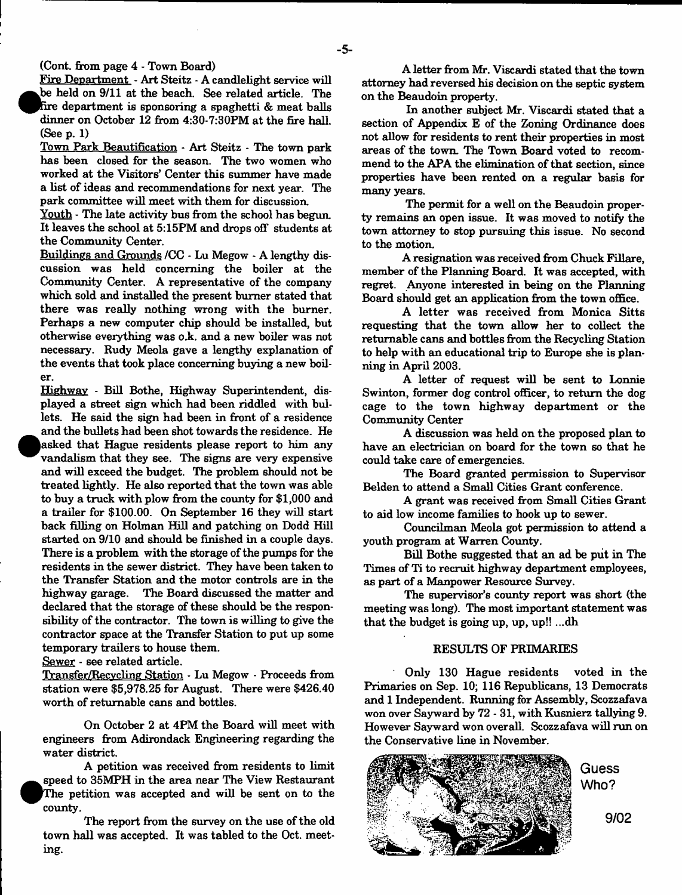Fire Department - Art Steitz - A candlelight service will **•** be held on 9/11 at the beach. See related article. The tire department is sponsoring a spaghetti & meat balls dinner on October 12 from 4:30-7:30PM at the fire hall. (See p. 1)

Town Park Beautification \* Art Steitz - The town park has been closed for the season. The two women who worked at the Visitors' Center this summer have made a list of ideas and recommendations for next year. The park committee will meet with them for discussion.

Youth - The late activity bus from the school has begun. It leaves the school at 5:15PM and drops off students at the Community Center.

Buildings and Grounds *ICC -* Lu Megow - A lengthy discussion was held concerning the boiler at the Community Center. A representative of the company which sold and installed the present burner stated that there was really nothing wrong with the burner. Perhaps a new computer chip should be installed, but otherwise everything was o.k. and a new boiler was not necessary. Rudy Meola gave a lengthy explanation of the events that took place concerning buying a new boiler.

Highway - Bill Bothe, Highway Superintendent, displayed a street sign which had been riddled with bullets. He said the sign had been in front of a residence and the bullets had been shot towards the residence. He asked that Hague residents please report to him any vandalism that they see. The signs are very expensive and will exceed the budget. The problem should not be treated lightly. He also reported that the town was able to buy a truck with plow from the county for \$1,000 and a trailer for \$100.00. On September 16 they will start back filling on Holman Hill and patching on Dodd Hill started on 9/10 and should be finished in a couple days. There is a problem with the storage of the pumps for the residents in the sewer district. They have been taken to the Transfer Station and the motor controls are in the highway garage. The Board discussed the matter and declared that the storage of these should be the responsibility of the contractor. The town is willing to give the contractor space at the Transfer Station to put up some temporary trailers to house them.

Sewer - see related article.

Transfer/Recvcling Station - Lu Megow - Proceeds from station were \$5,978.25 for August. There were \$426.40 worth of returnable cans and bottles.

On October 2 at 4PM the Board will meet with engineers from Adirondack Engineering regarding the water district.

A petition was received from residents to limit  $\bullet$ speed to 35MPH in the area near The View Restaurant The petition was accepted and will be sent on to the county.

The report from the survey on the use of the old town hall was accepted. It was tabled to the Oct. meeting.

A letter from Mr. Viscardi stated that the town attorney had reversed his decision on the septic system on the Beaudoin property.

In another subject Mr. Viscardi stated that a section of Appendix E of the Zoning Ordinance does not allow for residents to rent their properties in most areas of the town. The Town Board voted to recommend to the APA the elimination of that section, since properties have been rented on a regular basis for many years.

The permit for a well on the Beaudoin property remains an open issue. It was moved to notify the town attorney to stop pursuing this issue. No second to the motion.

A resignation was received from Chuck Fillare, member of the Planning Board. It was accepted, with regret. Anyone interested in being on the Planning Board should get an application from the town office.

A letter was received from Monica Sitts requesting that the town allow her to collect the returnable cans and bottles from the Recycling Station to help with an educational trip to Europe she is planning in April 2003.

A letter of request will be sent to Lonnie Swinton, former dog control officer, to return the dog cage to the town highway department or the Community Center

A discussion was held on the proposed plan to have an electrician on board for the town so that he could take care of emergencies.

The Board granted permission to Supervisor Belden to attend a Small Cities Grant conference.

A grant was received from Small Cities Grant to aid low income families to hook up to sewer.

Councilman Meola got permission to attend a youth program at Warren County.

Bill Bothe suggested that an ad be put in The Times of Ti to recruit highway department employees, as part of a Manpower Resource Survey.

The supervisor's county report was short (the meeting was long). The most important statement was that the budget is going up, up, up!! ...dh

## RESULTS OF PRIMARIES

Only 130 Hague residents voted in the Primaries on Sep. 10; 116 Republicans, 13 Democrats and 1 Independent. Running for Assembly, Scozzafava won over Sayward by 72 - 31, with Kusnierz tallying 9. However Sayward won overall. Scozzafava will run on the Conservative line in November.



**Who?**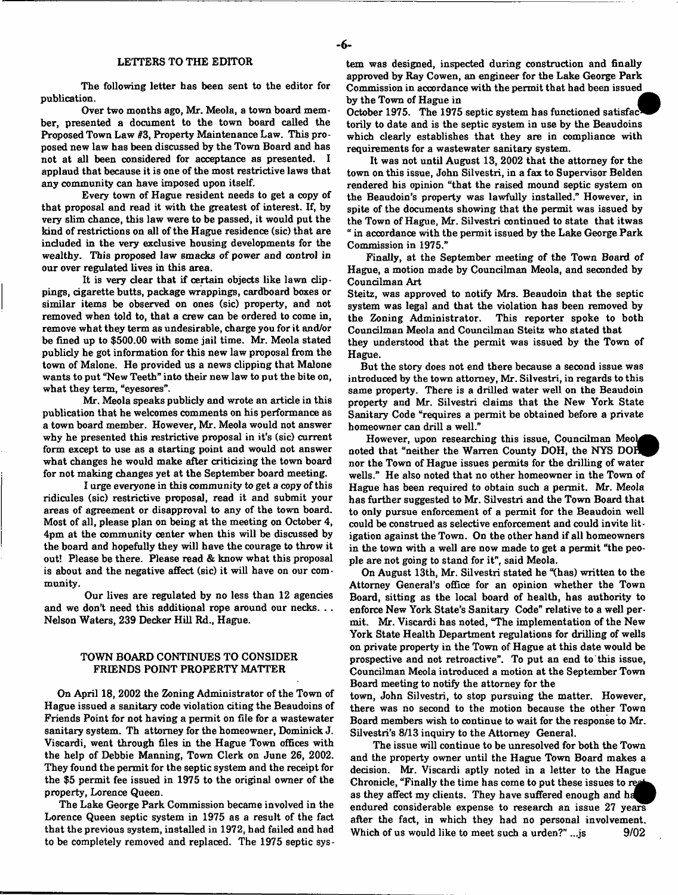The following letter has been sent to the editor for publication.

Over two months ago, Mr. Meola, a town board member, presented a document to the town board called the Proposed Town Law #3, Property Maintenance Law. This proposed new law has been discussed by the Town Board and has not at all been considered for acceptance as presented. I applaud that because it is one of the most restrictive laws that any community can have imposed upon itself.

Every town of Hague resident needs to get a copy of that proposal and read it with the greatest of interest. If, by very slim chance, this law were to be passed, it would put the kind of restrictions on all of the Hague residence (sic) that are included in the very exclusive housing developments for the wealthy. This proposed law smacks of power and control in our over regulated lives in this area.

It is very dear that if certain objects like lawn dippings, dgarette butts, package wrappings, cardboard boxes or similar items be observed on ones (sic) property, and not removed when told to, that a crew can be ordered to come in, remove what they term as undesirable, charge you for it and/or be fined up to \$500.00 with some jail time. Mr. Meola stated publidy he got information for this new law proposal from the town of Malone. He provided us a news dipping that Malone wants to put "New Teeth" into their new law to put the bite on, what they term, "eyesores".

Mr. Meola speaks publidy and wrote an artide in this publication that he welcomes comments on his performance as a town board member. However, Mr. Meola would not answer why he presented this restrictive proposal in it's (sic) current form except to use as a starting point and would not answer what changes he would make after criticizing the town board for not making changes yet at the September board meeting.

I urge everyone in this community to get a copy of this ridicules (sic) restrictive proposal, read it and submit your areas of agreement or disapproval to any of the town board. Most of all, please plan on being at the meeting on October 4, 4pm at the community center when this will be discussed by the board and hopefully they will have the courage to throw it out! Please be there. Please read & know what this proposal is about and the negative affect (sic) it will have on our community.

Our lives are regulated by no less than 12 agendes and we don't need this additional rope around our necks. . . Nelson Waters, 239 Decker Hill Rd., Hague.

#### TOWN BOARD CONTINUES TO CONSIDER FRIENDS POINT PROPERTY MATTER

On April 18, 2002 the Zoning Administrator of the Town of Hague issued a sanitary code violation citing the Beaudoins of Friends Point for not having a permit on file for a wastewater sanitary system. Th attorney for the homeowner, Dominick J. Viscardi, went through files in the Hague Town offices with the help of Debbie Manning, Town Clerk on June 26, 2002. They found the permit for the septic system and the receipt for the \$5 permit fee issued in 1975 to the original owner of the property, Lorence Queen.

The Lake George Park Commission became involved in the Lorence Queen septic system in 1975 as a result of the fact that the previous system, installed in 1972, had failed and had to be completely removed and replaced. The 1975 septic sys-

tem was designed, inspected during construction and finally approved by Ray Cowen, an engineer for the Lake George Park Commission in accordance with the permit that had been issued \_ by the Town of Hague in

October 1975. The 1975 septic system has functioned satisfactorily to date and is the septic system in use by the Beaudoins which clearly establishes that they are in compliance with requirements for a wastewater sanitary system.

It was not until August 13, 2002 that the attorney for the town on this issue, John Silvestri, in a fax to Supervisor Belden rendered his opinion "that the raised mound septic system on the Beaudoin's property was lawfully installed." However, in spite of the documents showing that the permit was issued by the Town of Hague, Mr. Silvestri continued to state that itwas " in accordance with the permit issued by the Lake George Park Commission in 1975."

Finally, at the September meeting of the Town Board of Hague, a motion made by Councilman Meola, and seconded by Councilman Art

Steitz, was approved to notify Mrs. Beaudoin that the septic system was legal and that the violation has been removed by the Zoning Administrator. This reporter spoke to both Councilman Meola and Councilman Steitz who stated that they understood that the permit was issued by the Town of

Hague.

But the story does not end there because a second issue was introduced by the town attorney, Mr. Silvestri, in regards to this same property. There is a drilled water well on the Beaudoin property and Mr. Silvestri claims that the New York State Sanitary Code "requires a permit be obtained before a private homeowner can drill a well."

However, upon researching this issue, Councilman Meol noted that "neither the Warren County DOH, the NYS DOH nor the Town of Hague issues permits for the drilling of water wells." He also noted that no other homeowner in the Town of Hague has been required to obtain such a permit. Mr. Meola has further suggested to Mr. Silvestri and the Town Board that to only pursue enforcement of a permit for the Beaudoin well could be construed as selective enforcement and could invite litigation against the Town. On the other hand if all homeowners in the town with a well are now made to get a permit "the people are not going to stand for it", said Meola.

On August 13th, Mr. Silvestri stated he "(has) written to the Attorney General's office for an opinion whether the Town Board, sitting as the local board of health, has authority to enforce New York State's Sanitary Code" relative to a well permit. Mr. Viscardi has noted, "The implementation of the New York State Health Department regulations for drilling of wells on private property in the Town of Hague at this date would be prospective and not retroactive". To put an end to this issue, Councilman Meola introduced a motion at the September Town Board meeting to notify the attorney for the

town, John Silvestri, to stop pursuing the matter. However, there was no second to the motion because the other Town Board members wish to continue to wait for the response to Mr. Silvestri's 8/13 inquiry to the Attorney General.

The issue will continue to be unresolved for both the Town and the property owner until the Hague Town Board makes a decision. Mr. Viscardi aptly noted in a letter to the Hague Chronicle, "Finally the time has come to put these issues to real as they affect my clients. They have suffered enough and ha endured considerable expense to research an issue 27 years after the fact, in which they had no personal involvement. Which of us would like to meet such a urden?"  $\ldots$  is  $9/02$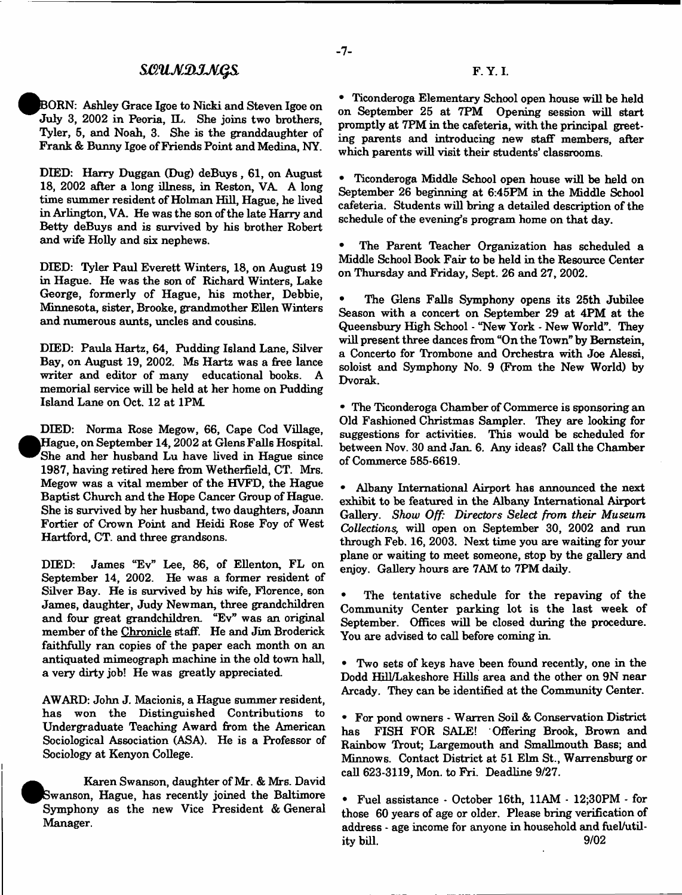# *S£>11M2)JJVjQ&*

BORN: Ashley Grace Igoe to Nicki and Steven Igoe on July 3, 2002 in Peoria, EL. She joins two brothers, Tyler, 5, and Noah, 3. She is the granddaughter of Frank & Bunny Igoe of Friends Point and Medina, NY.

DIED: Harry Duggan (Dug) deBuys, 61, on August 18, 2002 after a long illness, in Reston, VA\_ A long time summer resident of Holman Hill, Hague, he lived in Arlington, VA. He was the son of the late Harry and Betty deBuys and is survived by his brother Robert and wife Holly and six nephews.

DIED: Tyler Paul Everett Winters, 18, on August 19 in Hague. He was the son of Richard Winters, Lake George, formerly of Hague, his mother, Debbie, Minnesota, sister, Brooke, grandmother Ellen Winters and numerous aunts, uncles and cousins.

DEED: Paula Hartz, 64, Pudding Island Lane, Silver Bay, on August 19, 2002. Ms Hartz was a free lance writer and editor of many educational books. A memorial service will be held at her home on Pudding Island Lane on Oct. 12 at 1PM\_

DEED: Norma Rose Megow, 66, Cape Cod Village, <sup>•</sup> Hague, on September 14,2002 at Glens Falls Hospital. She and her husband Lu have lived in Hague since 1987, having retired here from Wetherfield, CT. Mrs. Megow was a vital member of the HVFD, the Hague Baptist Church and the Hope Cancer Group of Hague. She is survived by her husband, two daughters, Joann Fortier of Crown Point and Heidi Rose Foy of West Hartford, CT. and three grandsons.

DEED: James "Ev" Lee, 86, of Ellenton, FL on September 14, 2002. He was a former resident of Silver Bay. He is survived by his wife, Florence, son James, daughter, Judy Newman, three grandchildren and four great grandchildren. "Ev" was an original member of the Chronicle staff. He and Jim Broderick faithfully ran copies of the paper each month on an antiquated mimeograph machine in the old town hall, a very dirty job! He was greatly appreciated.

AWARD: John J. Macionis, a Hague summer resident, has won the Distinguished Contributions to Undergraduate Teaching Award from the American Sociological Association (ASA). He is a Professor of Sociology at Kenyon College.

Karen Swanson, daughter of Mr. & Mrs. David Swanson, Hague, has recently joined the Baltimore Symphony as the new Vice President & General Manager.

• Ticonderoga Elementary School open house will be held on September 25 at 7PM Opening session will start promptly at 7PM in the cafeteria, with the principal greeting parents and introducing new staff members, after which parents will visit their students' classrooms.

• Ticonderoga Middle School open house will be held on September 26 beginning at 6:45FM in the Middle School cafeteria. Students will bring a detailed description of the schedule of the evening's program home on that day.

• The Parent Teacher Organization has scheduled a Middle School Book Fair to be held in the Resource Center on Thursday and Friday, Sept. 26 and 27, 2002.

The Glens Falls Symphony opens its 25th Jubilee Season with a concert on September 29 at 4PM at the Queensbury High School - "New York - New World". They will present three dances from "On the Town" by Bernstein, a Concerto for Trombone and Orchestra with Joe Alessi, soloist and Symphony No. 9 (From the New World) by Dvorak.

• The Ticonderoga Chamber of Commerce is sponsoring an Old Fashioned Christmas Sampler. They are looking for suggestions for activities. This would be scheduled for between Nov. 30 and Jan. 6. Any ideas? Call the Chamber of Commerce 585-6619.

• Albany International Airport has announced the next exhibit to be featured in the Albany International Airport Gallery. *Show Off: Directors Select from their Museum Collections,* will open on September 30, 2002 and run through Feb. 16, 2003. Next time you are waiting for your plane or waiting to meet someone, stop by the gallery and enjoy. Gallery hours are 7AM to 7PM daily.

The tentative schedule for the repaving of the Community Center parking lot is the last week of September. Offices will be closed during the procedure. You are advised to call before coming in.

• Two sets of keys have been found recently, one in the Dodd Hill/Lakeshore Hills area and the other on 9N near Arcady. They can be identified at the Community Center.

• For pond owners - Warren Soil & Conservation District has FISH FOR SALE! Offering Brook, Brown and Rainbow Trout; Largemouth and Smallmouth Bass; and Minnows. Contact District at 51 Elm St., Warrensburg or call 623-3119, Mon. to Fri. Deadline 9/27.

• Fuel assistance - October 16th, 11AM - 12;30PM - for those 60 years of age or older. Please bring verification of address - age income for anyone in household and fuel/utility bill. 9/02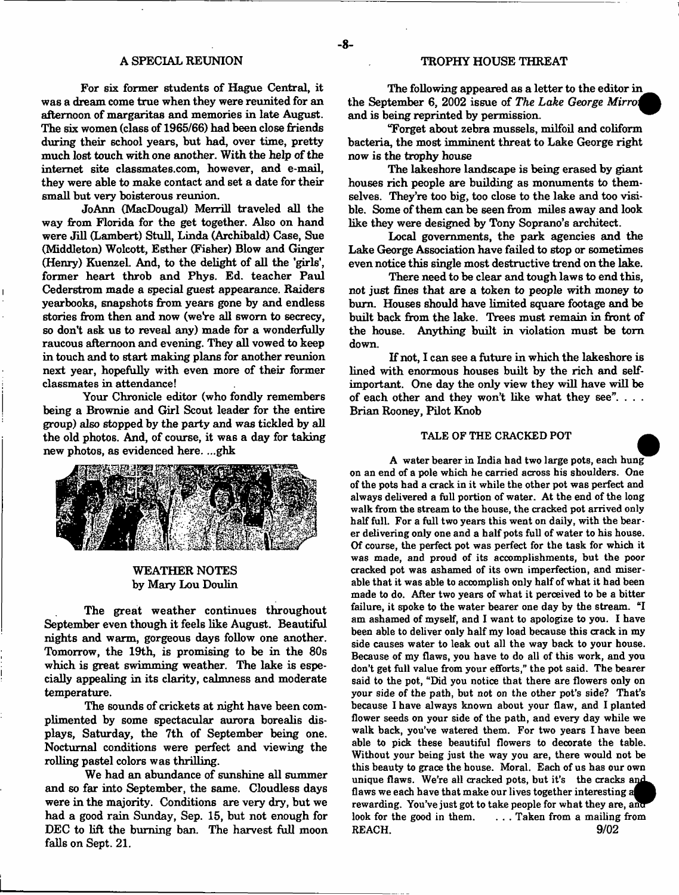#### A SPECIAL REUNION

For six former students of Hague Central, it was a dream come true when they were reunited for an afternoon of margaritas and memories in late August. The six women (class of 1965/66) had been close friends during their school years, but had, over time, pretty much lost touch with one another. With the help of the internet site classmates.com, however, and e-mail, they were able to make contact and set a date for their small but very boisterous reunion.

JoAnn (MacDougal) Merrill traveled all the way from Florida for the get together. Also on hand were Jill (Lambert) Stull, Linda (Archibald) Case, Sue (Middleton) Wolcott, Esther (Fisher) Blow and Ginger (Henry) Kuenzel. And, to the delight of all the 'girls', former heart throb and Phys. Ed. teacher Paul Cederstrom made a special guest appearance. Raiders yearbooks, snapshots from years gone by and endless stories from then and now (we're all sworn to secrecy, so don't ask us to reveal any) made for a wonderfully raucous afternoon and evening. They all vowed to keep in touch and to start making plans for another reunion next year, hopefully with even more of their former classmates in attendance!

Your Chronicle editor (who fondly remembers being a Brownie and Girl Scout leader for the entire group) also stopped by the party and was tickled by all the old photos. And, of course, it was a day for taking new photos, as evidenced here. ...ghk



## WEATHER NOTES by Mary Lou Doulin

The great weather continues throughout September even though it feels like August. Beautiful nights and warm, gorgeous days follow one another. Tomorrow, the 19th, is promising to be in the 80s which is great swimming weather. The lake is especially appealing in its clarity, calmness and moderate temperature.

The sounds of crickets at night have been complimented by some spectacular aurora borealis displays, Saturday, the 7th of September being one. Nocturnal conditions were perfect and viewing the rolling pastel colors was thrilling.

We had an abundance of sunshine all summer and so far into September, the same. Cloudless days were in the majority. Conditions are very dry, but we had a good rain Sunday, Sep. 15, but not enough for DEC to lift the burning ban. The harvest full moon falls on Sept. 21.

## TROPHY HOUSE THREAT

The following appeared as a letter to the editor in \_ the September 6, 2002 issue of *The Lake George Mirro*. and is being reprinted by permission.

"Forget about zebra mussels, milfoil and coliform bacteria, the most imminent threat to Lake George right now is the trophy house

The lakeshore landscape is being erased by giant houses rich people are building as monuments to themselves. They're too big, too close to the lake and too visible. Some of them can be seen from miles away and look like they were designed by Tony Soprano's architect.

Local governments, the park agencies and the Lake George Association have failed to stop or sometimes even notice this single most destructive trend on the lake.

There need to be clear and tough laws to end this, not just fines that are a token to people with money to bum. Houses should have limited square footage and be built back from the lake. Trees must remain in front of the house. Anything built in violation must be tom down.

If not, I can see a future in which the lakeshore is lined with enormous houses built by the rich and selfimportant. One day the only view they will have will be of each other and they won't like what they see". . . . Brian Rooney, Pilot Knob

## TALE OF THE CRACKED POT

A water bearer in India had two large pots, each hung on an end of a pole which he carried across his shoulders. One of the pots had a crack in it while the other pot was perfect and always delivered a full portion of water. At the end of the long walk from the stream to the house, the cracked pot arrived only half full. For a full two years this went on daily, with the bearer delivering only one and a half pots full of water to his house. Of course, the perfect pot was perfect for the task for which it was made, and proud of its accomplishments, but the poor cracked pot was ashamed of its own imperfection, and miserable that it was able to accomplish only half of what it had been made to do. After two years of what it perceived to be a bitter failure, it spoke to the water bearer one day by the stream. "I am ashamed of myself, and I want to apologize to you. I have been able to deliver only half my load because this crack in my side causes water to leak out all the way back to your house. Because of my flaws, you have to do all of this work, and you don't get full value from your efforts," the pot said. The bearer said to the pot, "Did you notice that there are flowers only on your side of the path, but not on the other pot's side? That's because I have always known about your flaw, and I planted flower seeds on your side of the path, and every day while we walk back, you've watered them. For two years I have been able to pick these beautiful flowers to decorate the table. Without your being just the way you are, there would not be this beauty to grace the house. Moral. Each of us has our own unique flaws. We're all cracked pots, but it's the cracks and flaws we each have that make our lives together interesting a rewarding. You've just got to take people for what they are, look for the good in them. . . . . Taken from a mailing from REACH. 9/02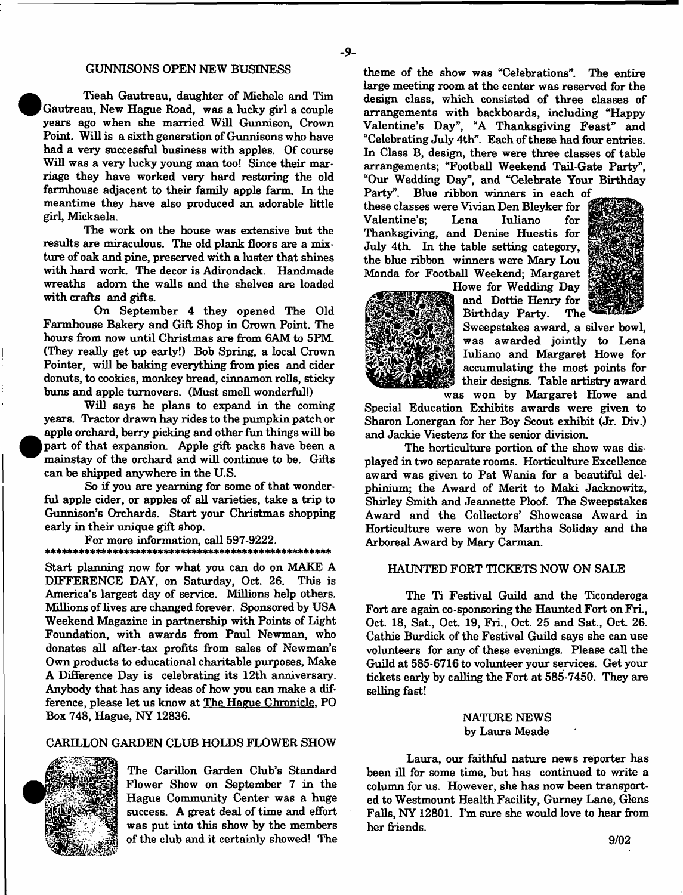#### GUNNISONS OPEN NEW BUSINESS

**•** 

 $\bullet$ 

Tieah Gautreau, daughter of Michele and Tim Gautreau, New Hague Road, was a lucky girl a couple years ago when she married Will Gunnison, Crown Point. Will is a sixth generation of Gunnisons who have had a very successful business with apples. Of course Will was a very lucky young man too! Since their marriage they have worked very hard restoring the old farmhouse adjacent to their family apple farm. In the meantime they have also produced an adorable little girl, Mickaela.

The work on the house was extensive but the results are miraculous. The old plank floors are a mixture of oak and pine, preserved with a luster that shines with hard work. The decor is Adirondack. Handmade wreaths adorn the walls and the shelves are loaded with crafts and gifts.

On September 4 they opened The Old Farmhouse Bakery and Gift Shop in Crown Point. The hours from now until Christmas are from 6AM to 5PM. (They really get up early!) Bob Spring, a local Crown Pointer, will be baking everything from pies and cider donuts, to cookies, monkey bread, cinnamon rolls, sticky buns and apple turnovers. (Must smell wonderful!)

Will says he plans to expand in the coming years. Tractor drawn hay rides to the pumpkin patch or apple orchard, berry picking and other fun things will be part of that expansion. Apple gift packs have been a mainstay of the orchard and will continue to be. Gifts can be shipped anywhere in the U.S.

So if you are yearning for some of that wonderful apple cider, or apples of all varieties, take a trip to Gunnison's Orchards. Start your Christmas shopping early in their unique gift shop.

For more information, call 597-9222. 

Start planning now for what you can do on MAKE A DIFFERENCE DAY, on Saturday, Oct. 26. This is America's largest day of service. Millions help others. Millions of lives are changed forever. Sponsored by USA Weekend Magazine in partnership with Points of Light Foundation, with awards from Paul Newman, who donates all after-tax profits from sales of Newman's Own products to educational charitable purposes, Make A Difference Day is celebrating its 12th anniversary. Anybody that has any ideas of how you can make a difference, please let us know at The Hague Chronicle, PO Box 748, Hague, NY 12836.

#### CARILLON GARDEN CLUB HOLDS FLOWER SHOW



The Carillon Garden Club's Standard Flower Show on September 7 in the Hague Community Center was a huge success. A great deal of time and effort was put into this show by the members of the club and it certainly showed! The

theme of the show was "Celebrations". The entire large meeting room at the center was reserved for the design class, which consisted of three classes of arrangements with backboards, including "Happy Valentine's Day", "A Thanksgiving Feast" and "Celebrating July 4th". Each of these had four entries. In Class B, design, there were three classes of table arrangements; "Football Weekend Tail-Gate Party", "Our Wedding Day", and "Celebrate Your Birthday

Party". Blue ribbon winners in each of these classes were Vivian Den Bleyker for Valentine's; Lena Iuliano for Thanksgiving, and Denise Huestis for July 4th. In the table setting category, the blue ribbon winners were Mary Lou Monda for Football Weekend; Margaret Howe for Wedding Day





Sweepstakes award, a silver bowl, was awarded jointly to Lena Iuliano and Margaret Howe for accumulating the most points for their designs. Table artistry award was won by Margaret Howe and

Special Education Exhibits awards were given to Sharon Lonergan for her Boy Scout exhibit (Jr. Div.) and Jackie Viestenz for the senior division.

The horticulture portion of the show was displayed in two separate rooms. Horticulture Excellence award was given to Pat Wania for a beautiful delphinium; the Award of Merit to Maki Jacknowitz, Shirley Smith and Jeannette Ploof. The Sweepstakes Award and the Collectors' Showcase Award in Horticulture were won by Martha Soliday and the Arboreal Award by Mary Carman.

### HAUNTED FORT TICKETS NOW ON SALE

The Ti Festival Guild and the Ticonderoga Fort are again co-sponsoring the Haunted Fort on Fri., Oct. 18, Sat., Oct. 19, Fri., Oct. 25 and Sat., Oct. 26. Cathie Burdick of the Festival Guild says she can use volunteers for any of these evenings. Please call the Guild at 585-6716 to volunteer your services. Get your tickets early by calling the Fort at 585-7450. They are selling fast!

## NATURE NEWS by Laura Meade

Laura, our faithful nature news reporter has been ill for some time, but has continued to write a column for us. However, she has now been transported to Westmount Health Facility, Gurney Lane, Glens Falls, NY 12801. I'm sure she would love to hear from her friends.